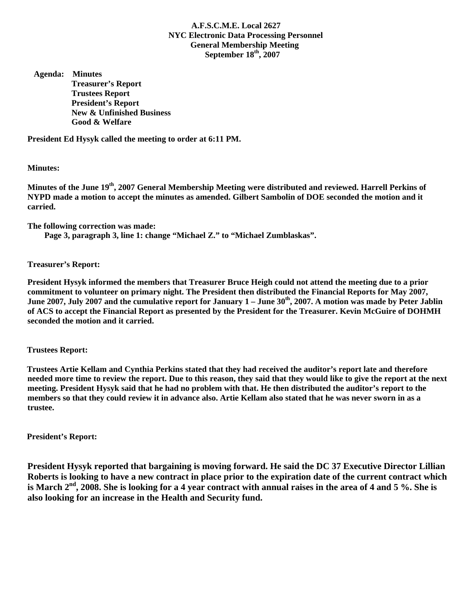## **A.F.S.C.M.E. Local 2627 NYC Electronic Data Processing Personnel General Membership Meeting September 18th, 2007**

 **Agenda: Minutes Treasurer's Report Trustees Report President's Report New & Unfinished Business Good & Welfare** 

**President Ed Hysyk called the meeting to order at 6:11 PM.** 

**Minutes:** 

**Minutes of the June 19th, 2007 General Membership Meeting were distributed and reviewed. Harrell Perkins of NYPD made a motion to accept the minutes as amended. Gilbert Sambolin of DOE seconded the motion and it carried.** 

**The following correction was made:** 

 **Page 3, paragraph 3, line 1: change "Michael Z." to "Michael Zumblaskas".** 

**Treasurer's Report:** 

**President Hysyk informed the members that Treasurer Bruce Heigh could not attend the meeting due to a prior commitment to volunteer on primary night. The President then distributed the Financial Reports for May 2007,**  June 2007, July 2007 and the cumulative report for January 1 – June 30<sup>th</sup>, 2007. A motion was made by Peter Jablin **of ACS to accept the Financial Report as presented by the President for the Treasurer. Kevin McGuire of DOHMH seconded the motion and it carried.** 

 **Trustees Report:** 

 **Trustees Artie Kellam and Cynthia Perkins stated that they had received the auditor's report late and therefore needed more time to review the report. Due to this reason, they said that they would like to give the report at the next meeting. President Hysyk said that he had no problem with that. He then distributed the auditor's report to the members so that they could review it in advance also. Artie Kellam also stated that he was never sworn in as a trustee.** 

 **President's Report:** 

**President Hysyk reported that bargaining is moving forward. He said the DC 37 Executive Director Lillian Roberts is looking to have a new contract in place prior to the expiration date of the current contract which**  is March 2<sup>nd</sup>, 2008. She is looking for a 4 year contract with annual raises in the area of 4 and 5 %. She is **also looking for an increase in the Health and Security fund.**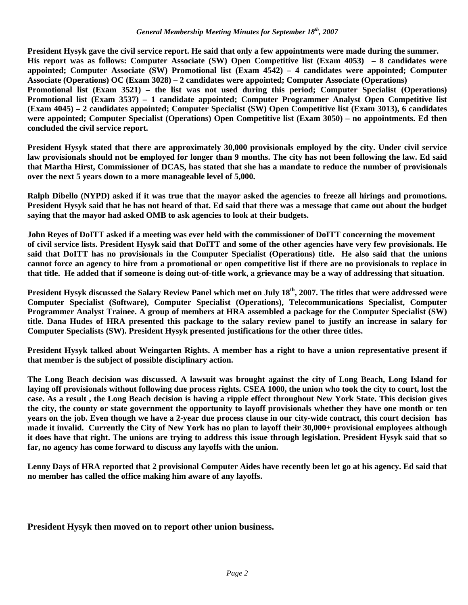**President Hysyk gave the civil service report. He said that only a few appointments were made during the summer. His report was as follows: Computer Associate (SW) Open Competitive list (Exam 4053) – 8 candidates were appointed; Computer Associate (SW) Promotional list (Exam 4542) – 4 candidates were appointed; Computer Associate (Operations) OC (Exam 3028) – 2 candidates were appointed; Computer Associate (Operations) Promotional list (Exam 3521) – the list was not used during this period; Computer Specialist (Operations) Promotional list (Exam 3537) – 1 candidate appointed; Computer Programmer Analyst Open Competitive list (Exam 4045) – 2 candidates appointed; Computer Specialist (SW) Open Competitive list (Exam 3013), 6 candidates were appointed; Computer Specialist (Operations) Open Competitive list (Exam 3050) – no appointments. Ed then concluded the civil service report.** 

**President Hysyk stated that there are approximately 30,000 provisionals employed by the city. Under civil service law provisionals should not be employed for longer than 9 months. The city has not been following the law. Ed said that Martha Hirst, Commissioner of DCAS, has stated that she has a mandate to reduce the number of provisionals over the next 5 years down to a more manageable level of 5,000.** 

**Ralph Dibello (NYPD) asked if it was true that the mayor asked the agencies to freeze all hirings and promotions. President Hysyk said that he has not heard of that. Ed said that there was a message that came out about the budget saying that the mayor had asked OMB to ask agencies to look at their budgets.** 

**John Reyes of DoITT asked if a meeting was ever held with the commissioner of DoITT concerning the movement of civil service lists. President Hysyk said that DoITT and some of the other agencies have very few provisionals. He said that DoITT has no provisionals in the Computer Specialist (Operations) title. He also said that the unions cannot force an agency to hire from a promotional or open competitive list if there are no provisionals to replace in that title. He added that if someone is doing out-of-title work, a grievance may be a way of addressing that situation.** 

President Hysyk discussed the Salary Review Panel which met on July 18<sup>th</sup>, 2007. The titles that were addressed were **Computer Specialist (Software), Computer Specialist (Operations), Telecommunications Specialist, Computer Programmer Analyst Trainee. A group of members at HRA assembled a package for the Computer Specialist (SW) title. Dana Hudes of HRA presented this package to the salary review panel to justify an increase in salary for Computer Specialists (SW). President Hysyk presented justifications for the other three titles.** 

**President Hysyk talked about Weingarten Rights. A member has a right to have a union representative present if that member is the subject of possible disciplinary action.** 

**The Long Beach decision was discussed. A lawsuit was brought against the city of Long Beach, Long Island for laying off provisionals without following due process rights. CSEA 1000, the union who took the city to court, lost the case. As a result , the Long Beach decision is having a ripple effect throughout New York State. This decision gives the city, the county or state government the opportunity to layoff provisionals whether they have one month or ten years on the job. Even though we have a 2-year due process clause in our city-wide contract, this court decision has made it invalid. Currently the City of New York has no plan to layoff their 30,000+ provisional employees although it does have that right. The unions are trying to address this issue through legislation. President Hysyk said that so far, no agency has come forward to discuss any layoffs with the union.** 

**Lenny Days of HRA reported that 2 provisional Computer Aides have recently been let go at his agency. Ed said that no member has called the office making him aware of any layoffs.** 

**President Hysyk then moved on to report other union business.**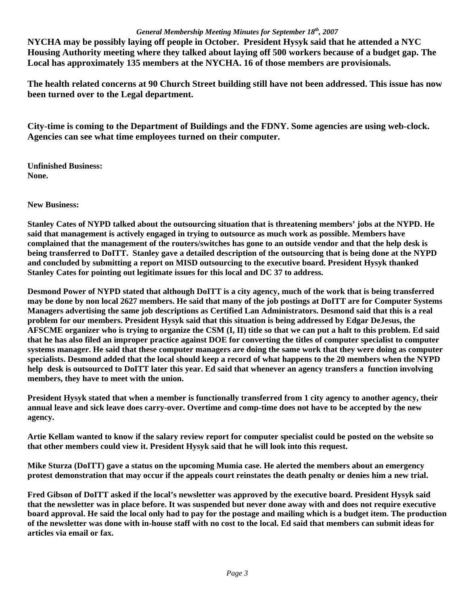## *General Membership Meeting Minutes for September 18th, 2007*

**NYCHA may be possibly laying off people in October. President Hysyk said that he attended a NYC Housing Authority meeting where they talked about laying off 500 workers because of a budget gap. The Local has approximately 135 members at the NYCHA. 16 of those members are provisionals.** 

**The health related concerns at 90 Church Street building still have not been addressed. This issue has now been turned over to the Legal department.** 

**City-time is coming to the Department of Buildings and the FDNY. Some agencies are using web-clock. Agencies can see what time employees turned on their computer.** 

**Unfinished Business: None.** 

**New Business:** 

**Stanley Cates of NYPD talked about the outsourcing situation that is threatening members' jobs at the NYPD. He said that management is actively engaged in trying to outsource as much work as possible. Members have complained that the management of the routers/switches has gone to an outside vendor and that the help desk is being transferred to DoITT. Stanley gave a detailed description of the outsourcing that is being done at the NYPD and concluded by submitting a report on MISD outsourcing to the executive board. President Hysyk thanked Stanley Cates for pointing out legitimate issues for this local and DC 37 to address.** 

**Desmond Power of NYPD stated that although DoITT is a city agency, much of the work that is being transferred may be done by non local 2627 members. He said that many of the job postings at DoITT are for Computer Systems Managers advertising the same job descriptions as Certified Lan Administrators. Desmond said that this is a real problem for our members. President Hysyk said that this situation is being addressed by Edgar DeJesus, the AFSCME organizer who is trying to organize the CSM (I, II) title so that we can put a halt to this problem. Ed said that he has also filed an improper practice against DOE for converting the titles of computer specialist to computer systems manager. He said that these computer managers are doing the same work that they were doing as computer specialists. Desmond added that the local should keep a record of what happens to the 20 members when the NYPD help desk is outsourced to DoITT later this year. Ed said that whenever an agency transfers a function involving members, they have to meet with the union.** 

**President Hysyk stated that when a member is functionally transferred from 1 city agency to another agency, their annual leave and sick leave does carry-over. Overtime and comp-time does not have to be accepted by the new agency.** 

**Artie Kellam wanted to know if the salary review report for computer specialist could be posted on the website so that other members could view it. President Hysyk said that he will look into this request.** 

**Mike Sturza (DoITT) gave a status on the upcoming Mumia case. He alerted the members about an emergency protest demonstration that may occur if the appeals court reinstates the death penalty or denies him a new trial.** 

**Fred Gibson of DoITT asked if the local's newsletter was approved by the executive board. President Hysyk said that the newsletter was in place before. It was suspended but never done away with and does not require executive board approval. He said the local only had to pay for the postage and mailing which is a budget item. The production of the newsletter was done with in-house staff with no cost to the local. Ed said that members can submit ideas for articles via email or fax.**